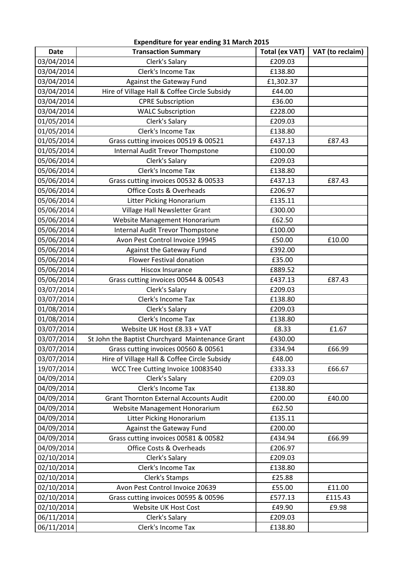| Expenditure for year ending 31 March 2015 |                                                  |                       |                  |  |
|-------------------------------------------|--------------------------------------------------|-----------------------|------------------|--|
| <b>Date</b>                               | <b>Transaction Summary</b>                       | <b>Total (ex VAT)</b> | VAT (to reclaim) |  |
| 03/04/2014                                | Clerk's Salary                                   | £209.03               |                  |  |
| 03/04/2014                                | Clerk's Income Tax                               | £138.80               |                  |  |
| 03/04/2014                                | Against the Gateway Fund                         | £1,302.37             |                  |  |
| 03/04/2014                                | Hire of Village Hall & Coffee Circle Subsidy     | £44.00                |                  |  |
| 03/04/2014                                | <b>CPRE Subscription</b>                         | £36.00                |                  |  |
| 03/04/2014                                | <b>WALC Subscription</b>                         | £228.00               |                  |  |
| 01/05/2014                                | Clerk's Salary                                   | £209.03               |                  |  |
| 01/05/2014                                | Clerk's Income Tax                               | £138.80               |                  |  |
| 01/05/2014                                | Grass cutting invoices 00519 & 00521             | £437.13               | £87.43           |  |
| 01/05/2014                                | <b>Internal Audit Trevor Thompstone</b>          | £100.00               |                  |  |
| 05/06/2014                                | Clerk's Salary                                   | £209.03               |                  |  |
| 05/06/2014                                | Clerk's Income Tax                               | £138.80               |                  |  |
| 05/06/2014                                | Grass cutting invoices 00532 & 00533             | £437.13               | £87.43           |  |
| 05/06/2014                                | Office Costs & Overheads                         | £206.97               |                  |  |
| 05/06/2014                                | Litter Picking Honorarium                        | £135.11               |                  |  |
| 05/06/2014                                | Village Hall Newsletter Grant                    | £300.00               |                  |  |
| 05/06/2014                                | Website Management Honorarium                    | £62.50                |                  |  |
| 05/06/2014                                | <b>Internal Audit Trevor Thompstone</b>          | £100.00               |                  |  |
| 05/06/2014                                | Avon Pest Control Invoice 19945                  | £50.00                | £10.00           |  |
| 05/06/2014                                | Against the Gateway Fund                         | £392.00               |                  |  |
| 05/06/2014                                | <b>Flower Festival donation</b>                  | £35.00                |                  |  |
| 05/06/2014                                | Hiscox Insurance                                 | £889.52               |                  |  |
| 05/06/2014                                | Grass cutting invoices 00544 & 00543             | £437.13               | £87.43           |  |
| 03/07/2014                                | Clerk's Salary                                   | £209.03               |                  |  |
| 03/07/2014                                | Clerk's Income Tax                               | £138.80               |                  |  |
| 01/08/2014                                | Clerk's Salary                                   | £209.03               |                  |  |
| 01/08/2014                                | Clerk's Income Tax                               | £138.80               |                  |  |
| 03/07/2014                                | Website UK Host £8.33 + VAT                      | £8.33                 | £1.67            |  |
| 03/07/2014                                | St John the Baptist Churchyard Maintenance Grant | £430.00               |                  |  |
| 03/07/2014                                | Grass cutting invoices 00560 & 00561             | £334.94               | £66.99           |  |
| 03/07/2014                                | Hire of Village Hall & Coffee Circle Subsidy     | £48.00                |                  |  |
| 19/07/2014                                | WCC Tree Cutting Invoice 10083540                | £333.33               | £66.67           |  |
| 04/09/2014                                | Clerk's Salary                                   | £209.03               |                  |  |
| 04/09/2014                                | Clerk's Income Tax                               | £138.80               |                  |  |
| 04/09/2014                                | <b>Grant Thornton External Accounts Audit</b>    | £200.00               | £40.00           |  |
| 04/09/2014                                | Website Management Honorarium                    | £62.50                |                  |  |
| 04/09/2014                                | Litter Picking Honorarium                        | £135.11               |                  |  |
| 04/09/2014                                | Against the Gateway Fund                         | £200.00               |                  |  |
| 04/09/2014                                | Grass cutting invoices 00581 & 00582             | £434.94               | £66.99           |  |
| 04/09/2014                                | Office Costs & Overheads                         | £206.97               |                  |  |
| 02/10/2014                                | Clerk's Salary                                   | £209.03               |                  |  |
| 02/10/2014                                | Clerk's Income Tax                               | £138.80               |                  |  |
| 02/10/2014                                | Clerk's Stamps                                   | £25.88                |                  |  |
| 02/10/2014                                | Avon Pest Control Invoice 20639                  | £55.00                | £11.00           |  |
| 02/10/2014                                | Grass cutting invoices 00595 & 00596             | £577.13               | £115.43          |  |
| 02/10/2014                                | Website UK Host Cost                             | £49.90                | £9.98            |  |
| 06/11/2014                                | Clerk's Salary                                   | £209.03               |                  |  |
| 06/11/2014                                | Clerk's Income Tax                               | £138.80               |                  |  |